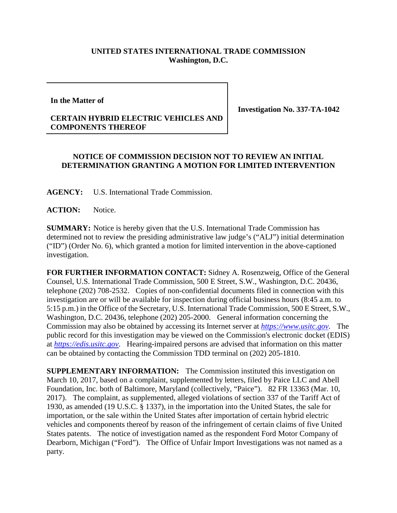## **UNITED STATES INTERNATIONAL TRADE COMMISSION Washington, D.C.**

**In the Matter of**

## **CERTAIN HYBRID ELECTRIC VEHICLES AND COMPONENTS THEREOF**

**Investigation No. 337-TA-1042**

## **NOTICE OF COMMISSION DECISION NOT TO REVIEW AN INITIAL DETERMINATION GRANTING A MOTION FOR LIMITED INTERVENTION**

**AGENCY:** U.S. International Trade Commission.

**ACTION:** Notice.

**SUMMARY:** Notice is hereby given that the U.S. International Trade Commission has determined not to review the presiding administrative law judge's ("ALJ") initial determination ("ID") (Order No. 6), which granted a motion for limited intervention in the above-captioned investigation.

**FOR FURTHER INFORMATION CONTACT:** Sidney A. Rosenzweig, Office of the General Counsel, U.S. International Trade Commission, 500 E Street, S.W., Washington, D.C. 20436, telephone (202) 708-2532. Copies of non-confidential documents filed in connection with this investigation are or will be available for inspection during official business hours (8:45 a.m. to 5:15 p.m.) in the Office of the Secretary, U.S. International Trade Commission, 500 E Street, S.W., Washington, D.C. 20436, telephone (202) 205-2000. General information concerning the Commission may also be obtained by accessing its Internet server at *[https://www.usitc.gov](https://www.usitc.gov/)*. The public record for this investigation may be viewed on the Commission's electronic docket (EDIS) at *[https://edis.usitc.gov](https://edis.usitc.gov/)*. Hearing-impaired persons are advised that information on this matter can be obtained by contacting the Commission TDD terminal on (202) 205-1810.

**SUPPLEMENTARY INFORMATION:** The Commission instituted this investigation on March 10, 2017, based on a complaint, supplemented by letters, filed by Paice LLC and Abell Foundation, Inc. both of Baltimore, Maryland (collectively, "Paice"). 82 FR 13363 (Mar. 10, 2017). The complaint, as supplemented, alleged violations of section 337 of the Tariff Act of 1930, as amended (19 U.S.C. § 1337), in the importation into the United States, the sale for importation, or the sale within the United States after importation of certain hybrid electric vehicles and components thereof by reason of the infringement of certain claims of five United States patents. The notice of investigation named as the respondent Ford Motor Company of Dearborn, Michigan ("Ford"). The Office of Unfair Import Investigations was not named as a party.